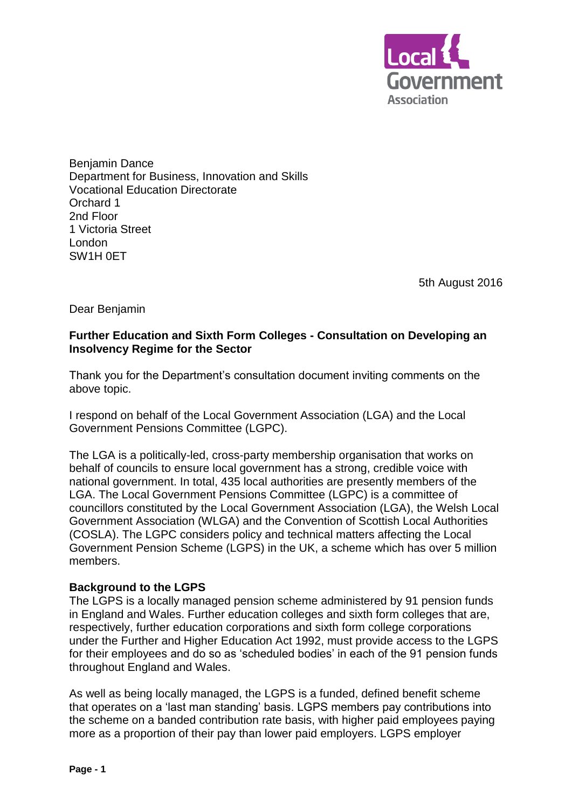

Benjamin Dance Department for Business, Innovation and Skills Vocational Education Directorate Orchard 1 2nd Floor 1 Victoria Street London SW1H 0ET

5th August 2016

Dear Benjamin

# **Further Education and Sixth Form Colleges - Consultation on Developing an Insolvency Regime for the Sector**

Thank you for the Department's consultation document inviting comments on the above topic.

I respond on behalf of the Local Government Association (LGA) and the Local Government Pensions Committee (LGPC).

The LGA is a politically-led, cross-party membership organisation that works on behalf of councils to ensure local government has a strong, credible voice with national government. In total, 435 local authorities are presently members of the LGA. The Local Government Pensions Committee (LGPC) is a committee of councillors constituted by the Local Government Association (LGA), the Welsh Local Government Association (WLGA) and the Convention of Scottish Local Authorities (COSLA). The LGPC considers policy and technical matters affecting the Local Government Pension Scheme (LGPS) in the UK, a scheme which has over 5 million members.

# **Background to the LGPS**

The LGPS is a locally managed pension scheme administered by 91 pension funds in England and Wales. Further education colleges and sixth form colleges that are, respectively, further education corporations and sixth form college corporations under the Further and Higher Education Act 1992, must provide access to the LGPS for their employees and do so as 'scheduled bodies' in each of the 91 pension funds throughout England and Wales.

As well as being locally managed, the LGPS is a funded, defined benefit scheme that operates on a 'last man standing' basis. LGPS members pay contributions into the scheme on a banded contribution rate basis, with higher paid employees paying more as a proportion of their pay than lower paid employers. LGPS employer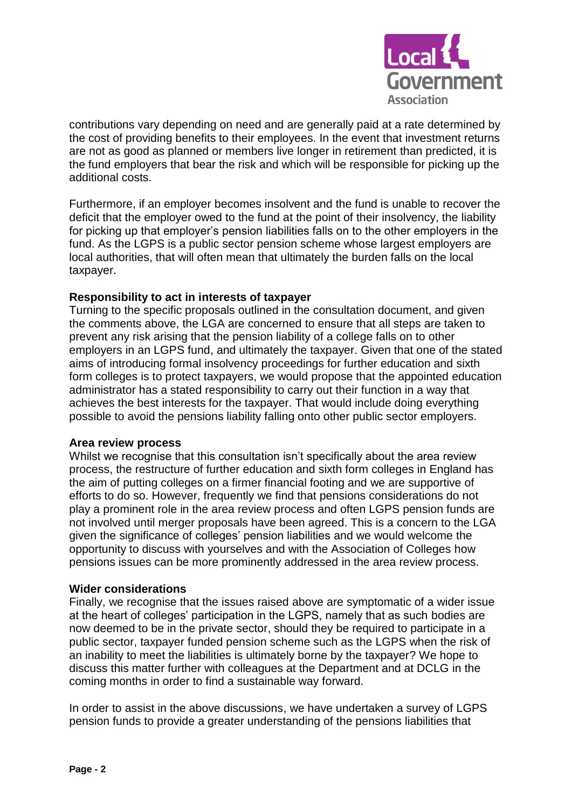

contributions vary depending on need and are generally paid at a rate determined by the cost of providing benefits to their employees. In the event that investment returns are not as good as planned or members live longer in retirement than predicted, it is the fund employers that bear the risk and which will be responsible for picking up the additional costs.

Furthermore, if an employer becomes insolvent and the fund is unable to recover the deficit that the employer owed to the fund at the point of their insolvency, the liability for picking up that employer's pension liabilities falls on to the other employers in the fund. As the LGPS is a public sector pension scheme whose largest employers are local authorities, that will often mean that ultimately the burden falls on the local taxpayer.

## **Responsibility to act in interests of taxpayer**

Turning to the specific proposals outlined in the consultation document, and given the comments above, the LGA are concerned to ensure that all steps are taken to prevent any risk arising that the pension liability of a college falls on to other employers in an LGPS fund, and ultimately the taxpayer. Given that one of the stated aims of introducing formal insolvency proceedings for further education and sixth form colleges is to protect taxpayers, we would propose that the appointed education administrator has a stated responsibility to carry out their function in a way that achieves the best interests for the taxpayer. That would include doing everything possible to avoid the pensions liability falling onto other public sector employers.

## **Area review process**

Whilst we recognise that this consultation isn't specifically about the area review process, the restructure of further education and sixth form colleges in England has the aim of putting colleges on a firmer financial footing and we are supportive of efforts to do so. However, frequently we find that pensions considerations do not play a prominent role in the area review process and often LGPS pension funds are not involved until merger proposals have been agreed. This is a concern to the LGA given the significance of colleges' pension liabilities and we would welcome the opportunity to discuss with yourselves and with the Association of Colleges how pensions issues can be more prominently addressed in the area review process.

## **Wider considerations**

Finally, we recognise that the issues raised above are symptomatic of a wider issue at the heart of colleges' participation in the LGPS, namely that as such bodies are now deemed to be in the private sector, should they be required to participate in a public sector, taxpayer funded pension scheme such as the LGPS when the risk of an inability to meet the liabilities is ultimately borne by the taxpayer? We hope to discuss this matter further with colleagues at the Department and at DCLG in the coming months in order to find a sustainable way forward.

In order to assist in the above discussions, we have undertaken a survey of LGPS pension funds to provide a greater understanding of the pensions liabilities that